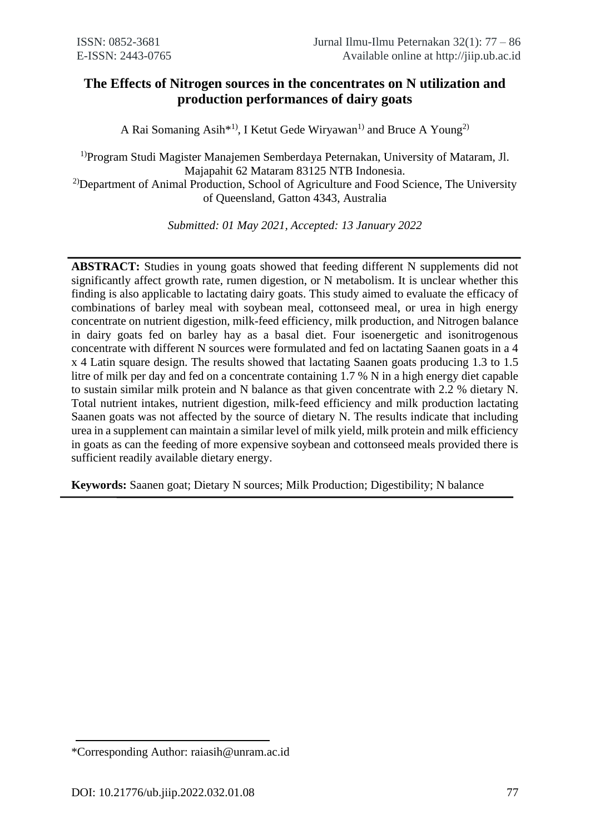# **The Effects of Nitrogen sources in the concentrates on N utilization and production performances of dairy goats**

A Rai Somaning Asih<sup>\*1)</sup>, I Ketut Gede Wiryawan<sup>1)</sup> and Bruce A Young<sup>2)</sup>

1)Program Studi Magister Manajemen Semberdaya Peternakan, University of Mataram, Jl. Majapahit 62 Mataram 83125 NTB Indonesia. <sup>2)</sup>Department of Animal Production, School of Agriculture and Food Science, The University of Queensland, Gatton 4343, Australia

*Submitted: 01 May 2021, Accepted: 13 January 2022*

**ABSTRACT:** Studies in young goats showed that feeding different N supplements did not significantly affect growth rate, rumen digestion, or N metabolism. It is unclear whether this finding is also applicable to lactating dairy goats. This study aimed to evaluate the efficacy of combinations of barley meal with soybean meal, cottonseed meal, or urea in high energy concentrate on nutrient digestion, milk-feed efficiency, milk production, and Nitrogen balance in dairy goats fed on barley hay as a basal diet. Four isoenergetic and isonitrogenous concentrate with different N sources were formulated and fed on lactating Saanen goats in a 4 x 4 Latin square design. The results showed that lactating Saanen goats producing 1.3 to 1.5 litre of milk per day and fed on a concentrate containing 1.7 % N in a high energy diet capable to sustain similar milk protein and N balance as that given concentrate with 2.2 % dietary N. Total nutrient intakes, nutrient digestion, milk-feed efficiency and milk production lactating Saanen goats was not affected by the source of dietary N. The results indicate that including urea in a supplement can maintain a similar level of milk yield, milk protein and milk efficiency in goats as can the feeding of more expensive soybean and cottonseed meals provided there is sufficient readily available dietary energy.

**Keywords:** Saanen goat; Dietary N sources; Milk Production; Digestibility; N balance

<sup>\*</sup>Corresponding Author: raiasih@unram.ac.id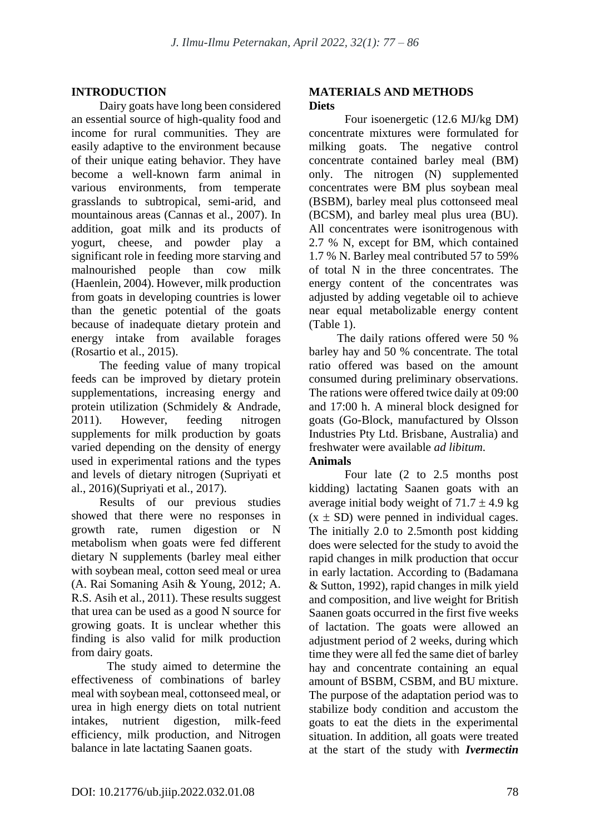# **INTRODUCTION**

Dairy goats have long been considered an essential source of high-quality food and income for rural communities. They are easily adaptive to the environment because of their unique eating behavior. They have become a well-known farm animal in various environments, from temperate grasslands to subtropical, semi-arid, and mountainous areas (Cannas et al., 2007). In addition, goat milk and its products of yogurt, cheese, and powder play a significant role in feeding more starving and malnourished people than cow milk (Haenlein, 2004). However, milk production from goats in developing countries is lower than the genetic potential of the goats because of inadequate dietary protein and energy intake from available forages (Rosartio et al., 2015).

The feeding value of many tropical feeds can be improved by dietary protein supplementations, increasing energy and protein utilization (Schmidely & Andrade, 2011). However, feeding nitrogen supplements for milk production by goats varied depending on the density of energy used in experimental rations and the types and levels of dietary nitrogen (Supriyati et al., 2016)(Supriyati et al., 2017).

Results of our previous studies showed that there were no responses in growth rate, rumen digestion or N metabolism when goats were fed different dietary N supplements (barley meal either with soybean meal, cotton seed meal or urea (A. Rai Somaning Asih & Young, 2012; A. R.S. Asih et al., 2011). These results suggest that urea can be used as a good N source for growing goats. It is unclear whether this finding is also valid for milk production from dairy goats.

The study aimed to determine the effectiveness of combinations of barley meal with soybean meal, cottonseed meal, or urea in high energy diets on total nutrient intakes, nutrient digestion, milk-feed efficiency, milk production, and Nitrogen balance in late lactating Saanen goats.

## **MATERIALS AND METHODS Diets**

Four isoenergetic (12.6 MJ/kg DM) concentrate mixtures were formulated for milking goats. The negative control concentrate contained barley meal (BM) only. The nitrogen (N) supplemented concentrates were BM plus soybean meal (BSBM), barley meal plus cottonseed meal (BCSM), and barley meal plus urea (BU). All concentrates were isonitrogenous with 2.7 % N, except for BM, which contained 1.7 % N. Barley meal contributed 57 to 59% of total N in the three concentrates. The energy content of the concentrates was adjusted by adding vegetable oil to achieve near equal metabolizable energy content (Table 1).

The daily rations offered were 50 % barley hay and 50 % concentrate. The total ratio offered was based on the amount consumed during preliminary observations. The rations were offered twice daily at 09:00 and 17:00 h. A mineral block designed for goats (Go-Block, manufactured by Olsson Industries Pty Ltd. Brisbane, Australia) and freshwater were available *ad libitum*.

## **Animals**

Four late (2 to 2.5 months post kidding) lactating Saanen goats with an average initial body weight of  $71.7 \pm 4.9$  kg  $(x \pm SD)$  were penned in individual cages. The initially 2.0 to 2.5month post kidding does were selected for the study to avoid the rapid changes in milk production that occur in early lactation. According to (Badamana & Sutton, 1992), rapid changes in milk yield and composition, and live weight for British Saanen goats occurred in the first five weeks of lactation. The goats were allowed an adjustment period of 2 weeks, during which time they were all fed the same diet of barley hay and concentrate containing an equal amount of BSBM, CSBM, and BU mixture. The purpose of the adaptation period was to stabilize body condition and accustom the goats to eat the diets in the experimental situation. In addition, all goats were treated at the start of the study with *Ivermectin*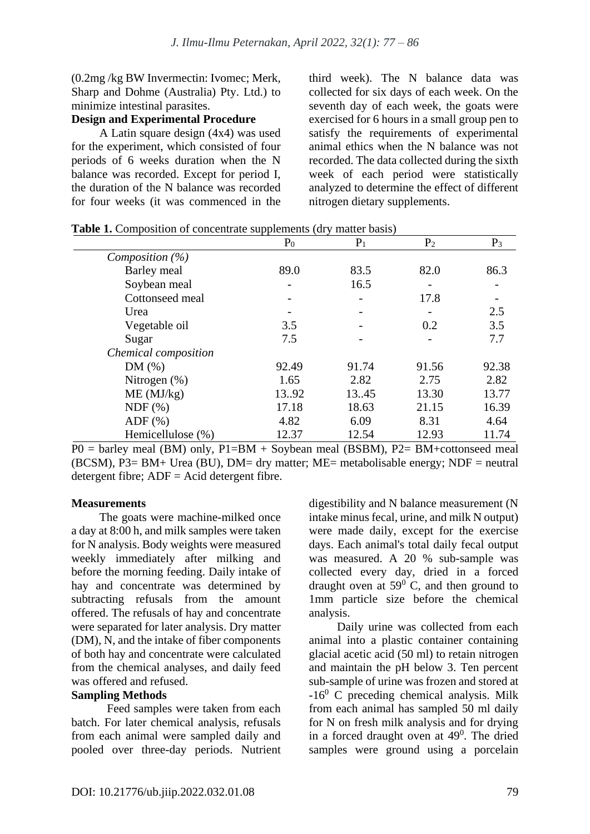(0.2mg /kg BW Invermectin: Ivomec; Merk, Sharp and Dohme (Australia) Pty. Ltd.) to minimize intestinal parasites.

# **Design and Experimental Procedure**

A Latin square design (4x4) was used for the experiment, which consisted of four periods of 6 weeks duration when the N balance was recorded. Except for period I, the duration of the N balance was recorded for four weeks (it was commenced in the third week). The N balance data was collected for six days of each week. On the seventh day of each week, the goats were exercised for 6 hours in a small group pen to satisfy the requirements of experimental animal ethics when the N balance was not recorded. The data collected during the sixth week of each period were statistically analyzed to determine the effect of different nitrogen dietary supplements.

|                      | P <sub>0</sub> | $P_1$ | P <sub>2</sub> | $P_3$ |
|----------------------|----------------|-------|----------------|-------|
| Composition $(\%)$   |                |       |                |       |
| Barley meal          | 89.0           | 83.5  | 82.0           | 86.3  |
| Soybean meal         |                | 16.5  |                |       |
| Cottonseed meal      |                |       | 17.8           |       |
| Urea                 |                |       |                | 2.5   |
| Vegetable oil        | 3.5            |       | 0.2            | 3.5   |
| Sugar                | 7.5            |       |                | 7.7   |
| Chemical composition |                |       |                |       |
| DM(%)                | 92.49          | 91.74 | 91.56          | 92.38 |
| Nitrogen $(\%)$      | 1.65           | 2.82  | 2.75           | 2.82  |
| ME (MJ/kg)           | 13.92          | 13.45 | 13.30          | 13.77 |
| NDF(%)               | 17.18          | 18.63 | 21.15          | 16.39 |
| $ADF$ $(\%)$         | 4.82           | 6.09  | 8.31           | 4.64  |
| Hemicellulose (%)    | 12.37          | 12.54 | 12.93          | 11.74 |

**Table 1.** Composition of concentrate supplements (dry matter basis)

 $P0 =$  barley meal (BM) only,  $P1 = BM +$  Soybean meal (BSBM),  $P2 = BM + cot$  consect meal (BCSM),  $P3 = BM + Urea (BU)$ ,  $DM = dry$  matter;  $ME =$  metabolisable energy;  $NDF =$  neutral detergent fibre;  $ADF = Acid$  detergent fibre.

## **Measurements**

The goats were machine-milked once a day at 8:00 h, and milk samples were taken for N analysis. Body weights were measured weekly immediately after milking and before the morning feeding. Daily intake of hay and concentrate was determined by subtracting refusals from the amount offered. The refusals of hay and concentrate were separated for later analysis. Dry matter (DM), N, and the intake of fiber components of both hay and concentrate were calculated from the chemical analyses, and daily feed was offered and refused.

#### **Sampling Methods**

Feed samples were taken from each batch. For later chemical analysis, refusals from each animal were sampled daily and pooled over three-day periods. Nutrient digestibility and N balance measurement (N intake minus fecal, urine, and milk N output) were made daily, except for the exercise days. Each animal's total daily fecal output was measured. A 20 % sub-sample was collected every day, dried in a forced draught oven at  $59^\circ$  C, and then ground to 1mm particle size before the chemical analysis.

Daily urine was collected from each animal into a plastic container containing glacial acetic acid (50 ml) to retain nitrogen and maintain the pH below 3. Ten percent sub-sample of urine was frozen and stored at  $-16<sup>0</sup>$  C preceding chemical analysis. Milk from each animal has sampled 50 ml daily for N on fresh milk analysis and for drying in a forced draught oven at  $49^\circ$ . The dried samples were ground using a porcelain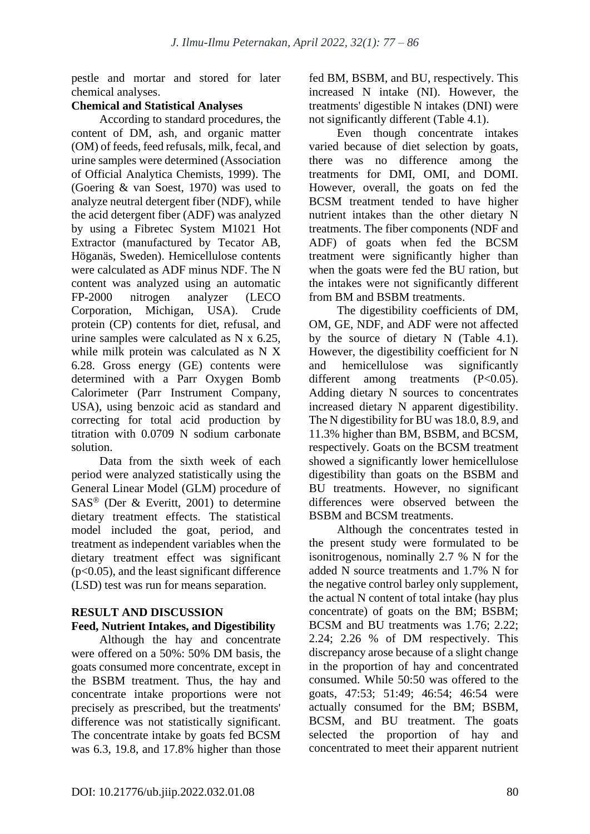pestle and mortar and stored for later chemical analyses.

## **Chemical and Statistical Analyses**

According to standard procedures, the content of DM, ash, and organic matter (OM) of feeds, feed refusals, milk, fecal, and urine samples were determined (Association of Official Analytica Chemists, 1999). The (Goering & van Soest, 1970) was used to analyze neutral detergent fiber (NDF), while the acid detergent fiber (ADF) was analyzed by using a Fibretec System M1021 Hot Extractor (manufactured by Tecator AB, Höganäs, Sweden). Hemicellulose contents were calculated as ADF minus NDF. The N content was analyzed using an automatic FP-2000 nitrogen analyzer (LECO Corporation, Michigan, USA). Crude protein (CP) contents for diet, refusal, and urine samples were calculated as N x 6.25, while milk protein was calculated as N X 6.28. Gross energy (GE) contents were determined with a Parr Oxygen Bomb Calorimeter (Parr Instrument Company, USA), using benzoic acid as standard and correcting for total acid production by titration with 0.0709 N sodium carbonate solution.

Data from the sixth week of each period were analyzed statistically using the General Linear Model (GLM) procedure of  $SAS^{\otimes}$  (Der & Everitt, 2001) to determine dietary treatment effects. The statistical model included the goat, period, and treatment as independent variables when the dietary treatment effect was significant (p<0.05), and the least significant difference (LSD) test was run for means separation.

#### **RESULT AND DISCUSSION Feed, Nutrient Intakes, and Digestibility**

Although the hay and concentrate were offered on a 50%: 50% DM basis, the goats consumed more concentrate, except in the BSBM treatment. Thus, the hay and concentrate intake proportions were not precisely as prescribed, but the treatments' difference was not statistically significant. The concentrate intake by goats fed BCSM was 6.3, 19.8, and 17.8% higher than those fed BM, BSBM, and BU, respectively. This increased N intake (NI). However, the treatments' digestible N intakes (DNI) were not significantly different (Table 4.1).

Even though concentrate intakes varied because of diet selection by goats, there was no difference among the treatments for DMI, OMI, and DOMI. However, overall, the goats on fed the BCSM treatment tended to have higher nutrient intakes than the other dietary N treatments. The fiber components (NDF and ADF) of goats when fed the BCSM treatment were significantly higher than when the goats were fed the BU ration, but the intakes were not significantly different from BM and BSBM treatments.

The digestibility coefficients of DM, OM, GE, NDF, and ADF were not affected by the source of dietary N (Table 4.1). However, the digestibility coefficient for N and hemicellulose was significantly different among treatments (P<0.05). Adding dietary N sources to concentrates increased dietary N apparent digestibility. The N digestibility for BU was 18.0, 8.9, and 11.3% higher than BM, BSBM, and BCSM, respectively. Goats on the BCSM treatment showed a significantly lower hemicellulose digestibility than goats on the BSBM and BU treatments. However, no significant differences were observed between the BSBM and BCSM treatments.

Although the concentrates tested in the present study were formulated to be isonitrogenous, nominally 2.7 % N for the added N source treatments and 1.7% N for the negative control barley only supplement, the actual N content of total intake (hay plus concentrate) of goats on the BM; BSBM; BCSM and BU treatments was 1.76; 2.22; 2.24; 2.26 % of DM respectively. This discrepancy arose because of a slight change in the proportion of hay and concentrated consumed. While 50:50 was offered to the goats, 47:53; 51:49; 46:54; 46:54 were actually consumed for the BM; BSBM, BCSM, and BU treatment. The goats selected the proportion of hay and concentrated to meet their apparent nutrient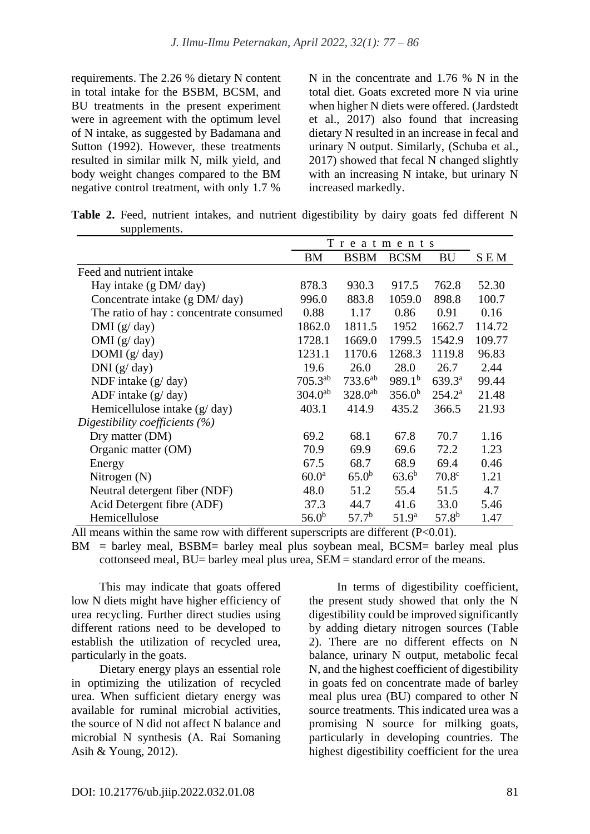requirements. The 2.26 % dietary N content in total intake for the BSBM, BCSM, and BU treatments in the present experiment were in agreement with the optimum level of N intake, as suggested by Badamana and Sutton (1992). However, these treatments resulted in similar milk N, milk yield, and body weight changes compared to the BM negative control treatment, with only 1.7 % N in the concentrate and 1.76 % N in the total diet. Goats excreted more N via urine when higher N diets were offered. (Jardstedt et al., 2017) also found that increasing dietary N resulted in an increase in fecal and urinary N output. Similarly, (Schuba et al., 2017) showed that fecal N changed slightly with an increasing N intake, but urinary N increased markedly.

Table 2. Feed, nutrient intakes, and nutrient digestibility by dairy goats fed different N supplements.

|                                        | Treatments        |                   |                    |                   |        |
|----------------------------------------|-------------------|-------------------|--------------------|-------------------|--------|
|                                        | ΒM                | <b>BSBM</b>       | <b>BCSM</b>        | BU                | S E M  |
| Feed and nutrient intake               |                   |                   |                    |                   |        |
| Hay intake (g DM/day)                  | 878.3             | 930.3             | 917.5              | 762.8             | 52.30  |
| Concentrate intake (g DM/day)          | 996.0             | 883.8             | 1059.0             | 898.8             | 100.7  |
| The ratio of hay: concentrate consumed | 0.88              | 1.17              | 0.86               | 0.91              | 0.16   |
| DMI $(g/day)$                          | 1862.0            | 1811.5            | 1952               | 1662.7            | 114.72 |
| OMI $(g/day)$                          | 1728.1            | 1669.0            | 1799.5             | 1542.9            | 109.77 |
| DOMI $(g/day)$                         | 1231.1            | 1170.6            | 1268.3             | 1119.8            | 96.83  |
| DNI(g/day)                             | 19.6              | 26.0              | 28.0               | 26.7              | 2.44   |
| NDF intake $(g/day)$                   | $705.3^{ab}$      | $733.6^{ab}$      | 989.1 <sup>b</sup> | $639.3^{\rm a}$   | 99.44  |
| ADF intake $(g/day)$                   | $304.0^{ab}$      | $328.0^{ab}$      | 356.0 <sup>b</sup> | $254.2^a$         | 21.48  |
| Hemicellulose intake $(g/day)$         | 403.1             | 414.9             | 435.2              | 366.5             | 21.93  |
| Digestibility coefficients $(\%)$      |                   |                   |                    |                   |        |
| Dry matter (DM)                        | 69.2              | 68.1              | 67.8               | 70.7              | 1.16   |
| Organic matter (OM)                    | 70.9              | 69.9              | 69.6               | 72.2              | 1.23   |
| Energy                                 | 67.5              | 68.7              | 68.9               | 69.4              | 0.46   |
| Nitrogen $(N)$                         | 60.0 <sup>a</sup> | $65.0^{b}$        | $63.6^{b}$         | 70.8 <sup>c</sup> | 1.21   |
| Neutral detergent fiber (NDF)          | 48.0              | 51.2              | 55.4               | 51.5              | 4.7    |
| Acid Detergent fibre (ADF)             | 37.3              | 44.7              | 41.6               | 33.0              | 5.46   |
| Hemicellulose                          | $56.0^{b}$        | 57.7 <sup>b</sup> | 51.9 <sup>a</sup>  | $57.8^{b}$        | 1.47   |

All means within the same row with different superscripts are different  $(P<0.01)$ .

BM = barley meal, BSBM= barley meal plus soybean meal, BCSM= barley meal plus cottonseed meal, BU= barley meal plus urea, SEM = standard error of the means.

This may indicate that goats offered low N diets might have higher efficiency of urea recycling. Further direct studies using different rations need to be developed to establish the utilization of recycled urea, particularly in the goats.

Dietary energy plays an essential role in optimizing the utilization of recycled urea. When sufficient dietary energy was available for ruminal microbial activities the source of N did not affect N balance and microbial N synthesis (A. Rai Somaning Asih & Young, 2012).

In terms of digestibility coefficient, the present study showed that only the N digestibility could be improved significantly by adding dietary nitrogen sources (Table 2). There are no different effects on N balance, urinary N output, metabolic fecal N, and the highest coefficient of digestibility in goats fed on concentrate made of barley meal plus urea (BU) compared to other N source treatments. This indicated urea was a promising N source for milking goats, particularly in developing countries. The highest digestibility coefficient for the urea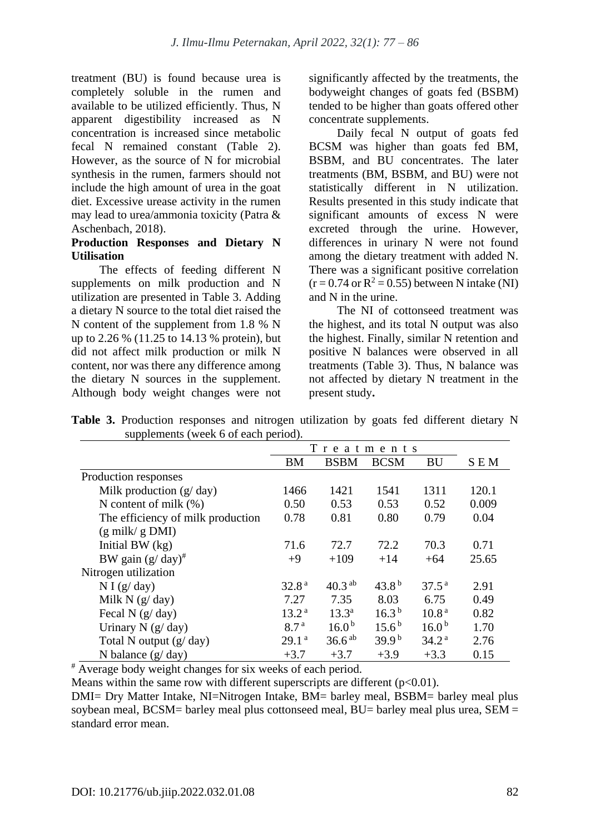treatment (BU) is found because urea is completely soluble in the rumen and available to be utilized efficiently. Thus, N apparent digestibility increased as N concentration is increased since metabolic fecal N remained constant (Table 2). However, as the source of N for microbial synthesis in the rumen, farmers should not include the high amount of urea in the goat diet. Excessive urease activity in the rumen may lead to urea/ammonia toxicity (Patra & Aschenbach, 2018).

#### **Production Responses and Dietary N Utilisation**

The effects of feeding different N supplements on milk production and N utilization are presented in Table 3. Adding a dietary N source to the total diet raised the N content of the supplement from 1.8 % N up to 2.26 % (11.25 to 14.13 % protein), but did not affect milk production or milk N content, nor was there any difference among the dietary N sources in the supplement. Although body weight changes were not significantly affected by the treatments, the bodyweight changes of goats fed (BSBM) tended to be higher than goats offered other concentrate supplements.

Daily fecal N output of goats fed BCSM was higher than goats fed BM, BSBM, and BU concentrates. The later treatments (BM, BSBM, and BU) were not statistically different in N utilization. Results presented in this study indicate that significant amounts of excess N were excreted through the urine. However, differences in urinary N were not found among the dietary treatment with added N. There was a significant positive correlation  $(r = 0.74$  or  $R^2 = 0.55$ ) between N intake (NI) and N in the urine.

The NI of cottonseed treatment was the highest, and its total N output was also the highest. Finally, similar N retention and positive N balances were observed in all treatments (Table 3). Thus, N balance was not affected by dietary N treatment in the present study**.** 

|                                   | Treatments        |                   |                     |                   |            |  |
|-----------------------------------|-------------------|-------------------|---------------------|-------------------|------------|--|
|                                   | BM                | <b>BSBM</b>       | <b>BCSM</b>         | BU                | <b>SEM</b> |  |
| Production responses              |                   |                   |                     |                   |            |  |
| Milk production $(g/day)$         | 1466              | 1421              | 1541                | 1311              | 120.1      |  |
| N content of milk $(\%)$          | 0.50              | 0.53              | 0.53                | 0.52              | 0.009      |  |
| The efficiency of milk production | 0.78              | 0.81              | 0.80                | 0.79              | 0.04       |  |
| $(g \text{ milk}/ g \text{ DMI})$ |                   |                   |                     |                   |            |  |
| Initial BW $(kg)$                 | 71.6              | 72.7              | 72.2                | 70.3              | 0.71       |  |
| BW gain $(g/day)^{\#}$            | $+9$              | $+109$            | $+14$               | $+64$             | 25.65      |  |
| Nitrogen utilization              |                   |                   |                     |                   |            |  |
| N I(g/day)                        | 32.8 <sup>a</sup> | $40.3^{ab}$       | 43.8 <sup>b</sup>   | $37.5^{\text{a}}$ | 2.91       |  |
| Milk N $(g/day)$                  | 7.27              | 7.35              | 8.03                | 6.75              | 0.49       |  |
| Fecal N $(g/day)$                 | 13.2 <sup>a</sup> | $13.3^a$          | 16.3 <sup>b</sup>   | 10.8 <sup>a</sup> | 0.82       |  |
| Urinary N $(g/day)$               | 8.7 <sup>a</sup>  | 16.0 <sup>b</sup> | $15.6^{\mathrm{b}}$ | 16.0 <sup>b</sup> | 1.70       |  |
| Total N output $(g / day)$        | 29.1 <sup>a</sup> | $36.6^{ab}$       | 39.9 <sup>b</sup>   | 34.2 <sup>a</sup> | 2.76       |  |
| N balance $(g/day)$               | $+3.7$            | $+3.7$            | $+3.9$              | $+3.3$            | 0.15       |  |

**Table 3.** Production responses and nitrogen utilization by goats fed different dietary N supplements (week 6 of each period).

# Average body weight changes for six weeks of each period.

Means within the same row with different superscripts are different  $(p<0.01)$ .

DMI= Dry Matter Intake, NI=Nitrogen Intake, BM= barley meal, BSBM= barley meal plus soybean meal, BCSM= barley meal plus cottonseed meal,  $BU=$  barley meal plus urea,  $SEM=$ standard error mean.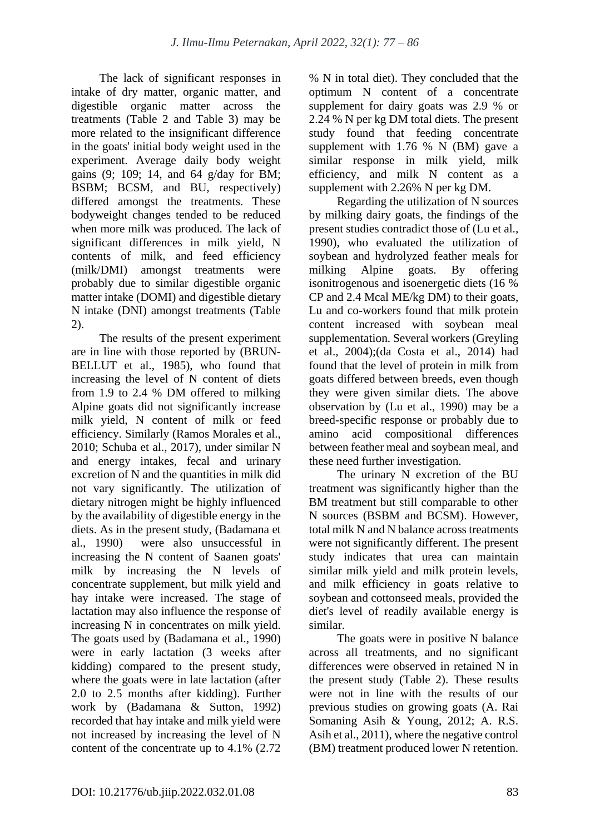The lack of significant responses in intake of dry matter, organic matter, and digestible organic matter across the treatments (Table 2 and Table 3) may be more related to the insignificant difference in the goats' initial body weight used in the experiment. Average daily body weight gains (9; 109; 14, and 64 g/day for BM; BSBM; BCSM, and BU, respectively) differed amongst the treatments. These bodyweight changes tended to be reduced when more milk was produced. The lack of significant differences in milk yield, N contents of milk, and feed efficiency (milk/DMI) amongst treatments were probably due to similar digestible organic matter intake (DOMI) and digestible dietary N intake (DNI) amongst treatments (Table 2).

The results of the present experiment are in line with those reported by (BRUN-BELLUT et al., 1985), who found that increasing the level of N content of diets from 1.9 to 2.4 % DM offered to milking Alpine goats did not significantly increase milk yield, N content of milk or feed efficiency. Similarly (Ramos Morales et al., 2010; Schuba et al., 2017), under similar N and energy intakes, fecal and urinary excretion of N and the quantities in milk did not vary significantly. The utilization of dietary nitrogen might be highly influenced by the availability of digestible energy in the diets. As in the present study, (Badamana et al., 1990) were also unsuccessful in increasing the N content of Saanen goats' milk by increasing the N levels of concentrate supplement, but milk yield and hay intake were increased. The stage of lactation may also influence the response of increasing N in concentrates on milk yield. The goats used by (Badamana et al., 1990) were in early lactation (3 weeks after kidding) compared to the present study, where the goats were in late lactation (after 2.0 to 2.5 months after kidding). Further work by (Badamana & Sutton, 1992) recorded that hay intake and milk yield were not increased by increasing the level of N content of the concentrate up to 4.1% (2.72 % N in total diet). They concluded that the optimum N content of a concentrate supplement for dairy goats was 2.9 % or 2.24 % N per kg DM total diets. The present study found that feeding concentrate supplement with 1.76 % N (BM) gave a similar response in milk yield, milk efficiency, and milk N content as a supplement with 2.26% N per kg DM.

Regarding the utilization of N sources by milking dairy goats, the findings of the present studies contradict those of (Lu et al., 1990), who evaluated the utilization of soybean and hydrolyzed feather meals for milking Alpine goats. By offering isonitrogenous and isoenergetic diets (16 % CP and 2.4 Mcal ME/kg DM) to their goats, Lu and co-workers found that milk protein content increased with soybean meal supplementation. Several workers (Greyling et al., 2004);(da Costa et al., 2014) had found that the level of protein in milk from goats differed between breeds, even though they were given similar diets. The above observation by (Lu et al., 1990) may be a breed-specific response or probably due to amino acid compositional differences between feather meal and soybean meal, and these need further investigation.

The urinary N excretion of the BU treatment was significantly higher than the BM treatment but still comparable to other N sources (BSBM and BCSM). However, total milk N and N balance across treatments were not significantly different. The present study indicates that urea can maintain similar milk yield and milk protein levels, and milk efficiency in goats relative to soybean and cottonseed meals, provided the diet's level of readily available energy is similar.

The goats were in positive N balance across all treatments, and no significant differences were observed in retained N in the present study (Table 2). These results were not in line with the results of our previous studies on growing goats (A. Rai Somaning Asih & Young, 2012; A. R.S. Asih et al., 2011), where the negative control (BM) treatment produced lower N retention.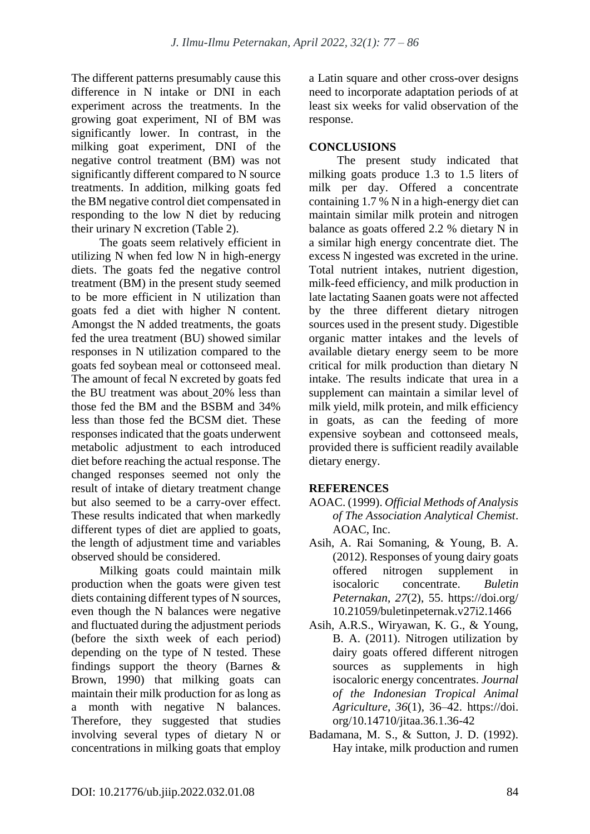The different patterns presumably cause this difference in N intake or DNI in each experiment across the treatments. In the growing goat experiment, NI of BM was significantly lower. In contrast, in the milking goat experiment, DNI of the negative control treatment (BM) was not significantly different compared to N source treatments. In addition, milking goats fed the BM negative control diet compensated in responding to the low N diet by reducing their urinary N excretion (Table 2).

The goats seem relatively efficient in utilizing N when fed low N in high-energy diets. The goats fed the negative control treatment (BM) in the present study seemed to be more efficient in N utilization than goats fed a diet with higher N content. Amongst the N added treatments, the goats fed the urea treatment (BU) showed similar responses in N utilization compared to the goats fed soybean meal or cottonseed meal. The amount of fecal N excreted by goats fed the BU treatment was about 20% less than those fed the BM and the BSBM and 34% less than those fed the BCSM diet. These responses indicated that the goats underwent metabolic adjustment to each introduced diet before reaching the actual response. The changed responses seemed not only the result of intake of dietary treatment change but also seemed to be a carry-over effect. These results indicated that when markedly different types of diet are applied to goats, the length of adjustment time and variables observed should be considered.

Milking goats could maintain milk production when the goats were given test diets containing different types of N sources, even though the N balances were negative and fluctuated during the adjustment periods (before the sixth week of each period) depending on the type of N tested. These findings support the theory (Barnes & Brown, 1990) that milking goats can maintain their milk production for as long as a month with negative N balances. Therefore, they suggested that studies involving several types of dietary N or concentrations in milking goats that employ a Latin square and other cross-over designs need to incorporate adaptation periods of at least six weeks for valid observation of the response.

# **CONCLUSIONS**

The present study indicated that milking goats produce 1.3 to 1.5 liters of milk per day. Offered a concentrate containing 1.7 % N in a high-energy diet can maintain similar milk protein and nitrogen balance as goats offered 2.2 % dietary N in a similar high energy concentrate diet. The excess N ingested was excreted in the urine. Total nutrient intakes, nutrient digestion, milk-feed efficiency, and milk production in late lactating Saanen goats were not affected by the three different dietary nitrogen sources used in the present study. Digestible organic matter intakes and the levels of available dietary energy seem to be more critical for milk production than dietary N intake. The results indicate that urea in a supplement can maintain a similar level of milk yield, milk protein, and milk efficiency in goats, as can the feeding of more expensive soybean and cottonseed meals, provided there is sufficient readily available dietary energy.

# **REFERENCES**

- AOAC. (1999). *Official Methods of Analysis of The Association Analytical Chemist*. AOAC, Inc.
- Asih, A. Rai Somaning, & Young, B. A. (2012). Responses of young dairy goats offered nitrogen supplement in isocaloric concentrate. *Buletin Peternakan*, *27*(2), 55. https://doi.org/ 10.21059/buletinpeternak.v27i2.1466
- Asih, A.R.S., Wiryawan, K. G., & Young, B. A. (2011). Nitrogen utilization by dairy goats offered different nitrogen sources as supplements in high isocaloric energy concentrates. *Journal of the Indonesian Tropical Animal Agriculture*, *36*(1), 36–42. https://doi. org/10.14710/jitaa.36.1.36-42
- Badamana, M. S., & Sutton, J. D. (1992). Hay intake, milk production and rumen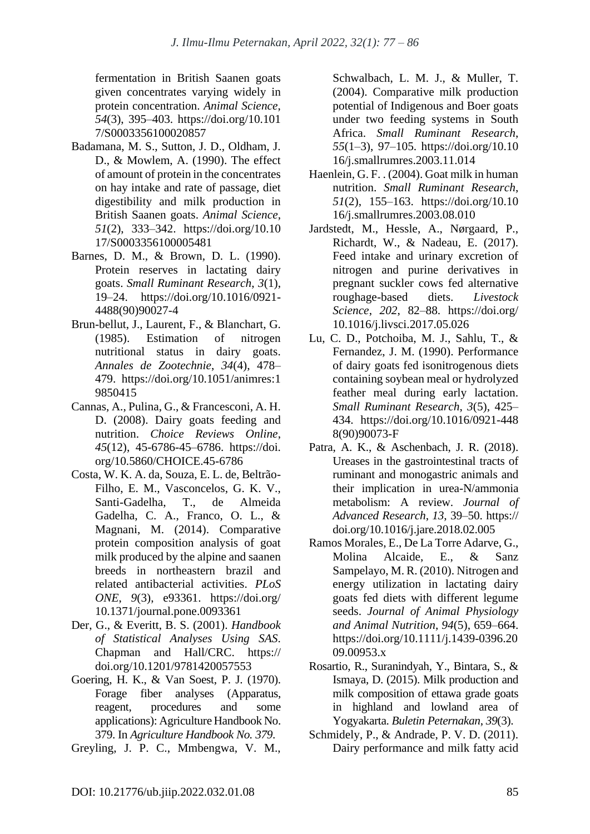fermentation in British Saanen goats given concentrates varying widely in protein concentration. *Animal Science*, *54*(3), 395–403. https://doi.org/10.101 7/S0003356100020857

- Badamana, M. S., Sutton, J. D., Oldham, J. D., & Mowlem, A. (1990). The effect of amount of protein in the concentrates on hay intake and rate of passage, diet digestibility and milk production in British Saanen goats. *Animal Science*, *51*(2), 333–342. https://doi.org/10.10 17/S0003356100005481
- Barnes, D. M., & Brown, D. L. (1990). Protein reserves in lactating dairy goats. *Small Ruminant Research*, *3*(1), 19–24. https://doi.org/10.1016/0921- 4488(90)90027-4
- Brun-bellut, J., Laurent, F., & Blanchart, G. (1985). Estimation of nitrogen nutritional status in dairy goats. *Annales de Zootechnie*, *34*(4), 478– 479. https://doi.org/10.1051/animres:1 9850415
- Cannas, A., Pulina, G., & Francesconi, A. H. D. (2008). Dairy goats feeding and nutrition. *Choice Reviews Online*, *45*(12), 45-6786-45–6786. https://doi. org/10.5860/CHOICE.45-6786
- Costa, W. K. A. da, Souza, E. L. de, Beltrão-Filho, E. M., Vasconcelos, G. K. V., Santi-Gadelha, T., de Almeida Gadelha, C. A., Franco, O. L., & Magnani, M. (2014). Comparative protein composition analysis of goat milk produced by the alpine and saanen breeds in northeastern brazil and related antibacterial activities. *PLoS ONE*, *9*(3), e93361. https://doi.org/ 10.1371/journal.pone.0093361
- Der, G., & Everitt, B. S. (2001). *Handbook of Statistical Analyses Using SAS*. Chapman and Hall/CRC. https:// doi.org/10.1201/9781420057553
- Goering, H. K., & Van Soest, P. J. (1970). Forage fiber analyses (Apparatus, reagent, procedures and some applications): Agriculture Handbook No. 379. In *Agriculture Handbook No. 379*.
- Greyling, J. P. C., Mmbengwa, V. M.,

Schwalbach, L. M. J., & Muller, T. (2004). Comparative milk production potential of Indigenous and Boer goats under two feeding systems in South Africa. *Small Ruminant Research*, *55*(1–3), 97–105. https://doi.org/10.10 16/j.smallrumres.2003.11.014

- Haenlein, G. F. . (2004). Goat milk in human nutrition. *Small Ruminant Research*, *51*(2), 155–163. https://doi.org/10.10 16/j.smallrumres.2003.08.010
- Jardstedt, M., Hessle, A., Nørgaard, P., Richardt, W., & Nadeau, E. (2017). Feed intake and urinary excretion of nitrogen and purine derivatives in pregnant suckler cows fed alternative roughage-based diets. *Livestock Science*, *202*, 82–88. https://doi.org/ 10.1016/j.livsci.2017.05.026
- Lu, C. D., Potchoiba, M. J., Sahlu, T., & Fernandez, J. M. (1990). Performance of dairy goats fed isonitrogenous diets containing soybean meal or hydrolyzed feather meal during early lactation. *Small Ruminant Research*, *3*(5), 425– 434. https://doi.org/10.1016/0921-448 8(90)90073-F
- Patra, A. K., & Aschenbach, J. R. (2018). Ureases in the gastrointestinal tracts of ruminant and monogastric animals and their implication in urea-N/ammonia metabolism: A review. *Journal of Advanced Research*, *13*, 39–50. https:// doi.org/10.1016/j.jare.2018.02.005
- Ramos Morales, E., De La Torre Adarve, G., Molina Alcaide, E., & Sanz Sampelayo, M. R. (2010). Nitrogen and energy utilization in lactating dairy goats fed diets with different legume seeds. *Journal of Animal Physiology and Animal Nutrition*, *94*(5), 659–664. https://doi.org/10.1111/j.1439-0396.20 09.00953.x
- Rosartio, R., Suranindyah, Y., Bintara, S., & Ismaya, D. (2015). Milk production and milk composition of ettawa grade goats in highland and lowland area of Yogyakarta. *Buletin Peternakan*, *39*(3).
- Schmidely, P., & Andrade, P. V. D. (2011). Dairy performance and milk fatty acid